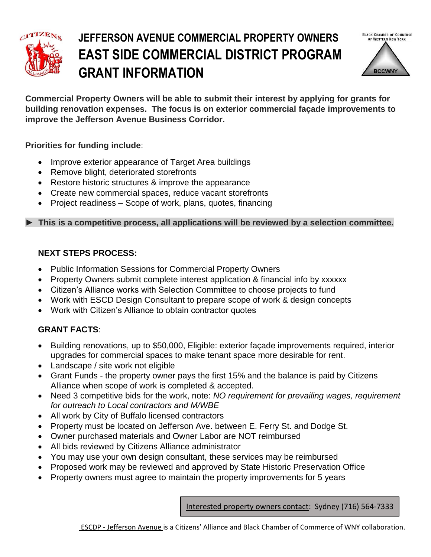

## **JEFFERSON AVENUE COMMERCIAL PROPERTY OWNERS E EAST SIDE COMMERCIAL DISTRICT PROGRAM GRANT INFORMATION**



**Commercial Property Owners will be able to submit their interest by applying for grants for building renovation expenses. The focus is on exterior commercial façade improvements to improve the Jefferson Avenue Business Corridor.**

#### **Priorities for funding include**:

- Improve exterior appearance of Target Area buildings
- Remove blight, deteriorated storefronts
- Restore historic structures & improve the appearance
- Create new commercial spaces, reduce vacant storefronts
- Project readiness Scope of work, plans, quotes, financing

#### **► This is a competitive process, all applications will be reviewed by a selection committee.**

#### **NEXT STEPS PROCESS:**

- Public Information Sessions for Commercial Property Owners
- Property Owners submit complete interest application & financial info by xxxxxx
- Citizen's Alliance works with Selection Committee to choose projects to fund
- Work with ESCD Design Consultant to prepare scope of work & design concepts
- Work with Citizen's Alliance to obtain contractor quotes

### **GRANT FACTS**:

- Building renovations, up to \$50,000, Eligible: exterior façade improvements required, interior upgrades for commercial spaces to make tenant space more desirable for rent.
- Landscape / site work not eligible
- Grant Funds the property owner pays the first 15% and the balance is paid by Citizens Alliance when scope of work is completed & accepted.
- Need 3 competitive bids for the work, note: *NO requirement for prevailing wages, requirement for outreach to Local contractors and M/WBE*
- All work by City of Buffalo licensed contractors
- Property must be located on Jefferson Ave. between E. Ferry St. and Dodge St.
- Owner purchased materials and Owner Labor are NOT reimbursed
- All bids reviewed by Citizens Alliance administrator
- You may use your own design consultant, these services may be reimbursed
- Proposed work may be reviewed and approved by State Historic Preservation Office
- Property owners must agree to maintain the property improvements for 5 years

Interested property owners contact: Sydney (716) 564-7333